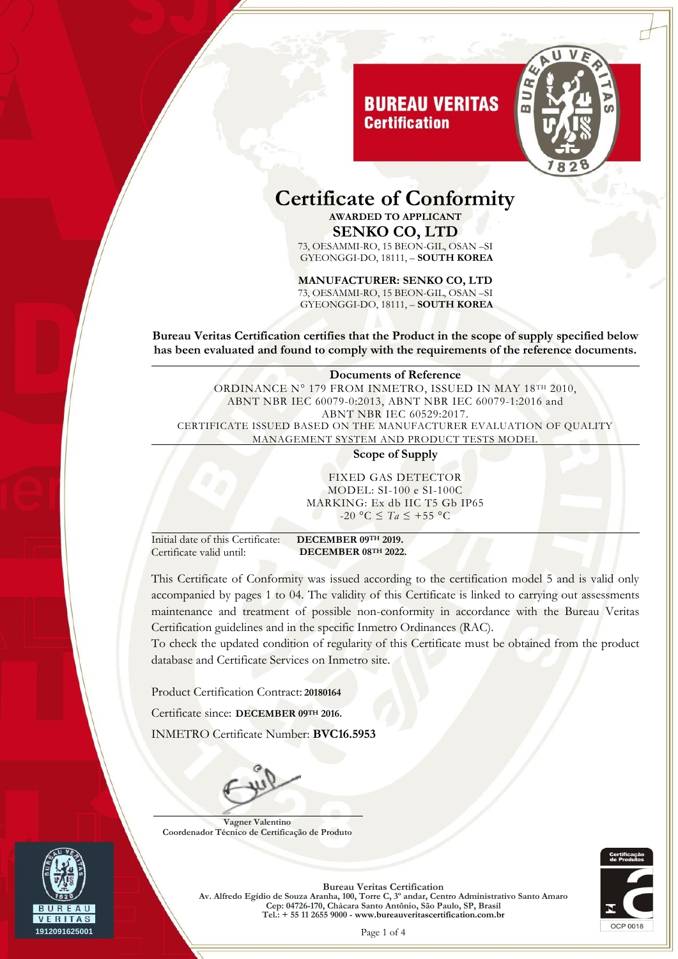# **BUREAU VERITAS Certification**



## **Certificate of Conformity AWARDED TO APPLICANT SENKO CO, LTD**

73, OESAMMI-RO, 15 BEON-GIL, OSAN –SI GYEONGGI-DO, 18111, – **SOUTH KOREA**

#### **MANUFACTURER: SENKO CO, LTD**

73, OESAMMI-RO, 15 BEON-GIL, OSAN –SI GYEONGGI-DO, 18111, – **SOUTH KOREA**

**Bureau Veritas Certification certifies that the Product in the scope of supply specified below has been evaluated and found to comply with the requirements of the reference documents.**

#### **Documents of Reference** ORDINANCE N° 179 FROM INMETRO, ISSUED IN MAY 18TH 2010, ABNT NBR IEC 60079-0:2013, ABNT NBR IEC 60079-1:2016 and ABNT NBR IEC 60529:2017. CERTIFICATE ISSUED BASED ON THE MANUFACTURER EVALUATION OF QUALITY MANAGEMENT SYSTEM AND PRODUCT TESTS MODEL

**Scope of Supply**

FIXED GAS DETECTOR MODEL: SI-100 e SI-100C MARKING: Ex db IIC T5 Gb IP65 -20 °C ≤ *Ta* ≤ +55 °C

Initial date of this Certificate: **DECEMBER 09TH 2019.** Certificate valid until: **DECEMBER 08TH 2022.**

This Certificate of Conformity was issued according to the certification model 5 and is valid only accompanied by pages 1 to 04. The validity of this Certificate is linked to carrying out assessments maintenance and treatment of possible non-conformity in accordance with the Bureau Veritas Certification guidelines and in the specific Inmetro Ordinances (RAC).

To check the updated condition of regularity of this Certificate must be obtained from the product database and Certificate Services on Inmetro site.

Product Certification Contract: **20180164**

Certificate since: **DECEMBER 09TH 2016.**

INMETRO Certificate Number: **BVC16.5953**



**Vagner Valentino Coordenador Técnico de Certificação de Produto**



**Bureau Veritas Certification Av. Alfredo Egídio de Souza Aranha, 100, Torre C, 3º andar, Centro Administrativo Santo Amaro Cep: 04726-170, Chácara Santo Antônio, São Paulo, SP, Brasil Tel.: + 55 11 2655 9000 - www.bureauveritascertification.com.br**

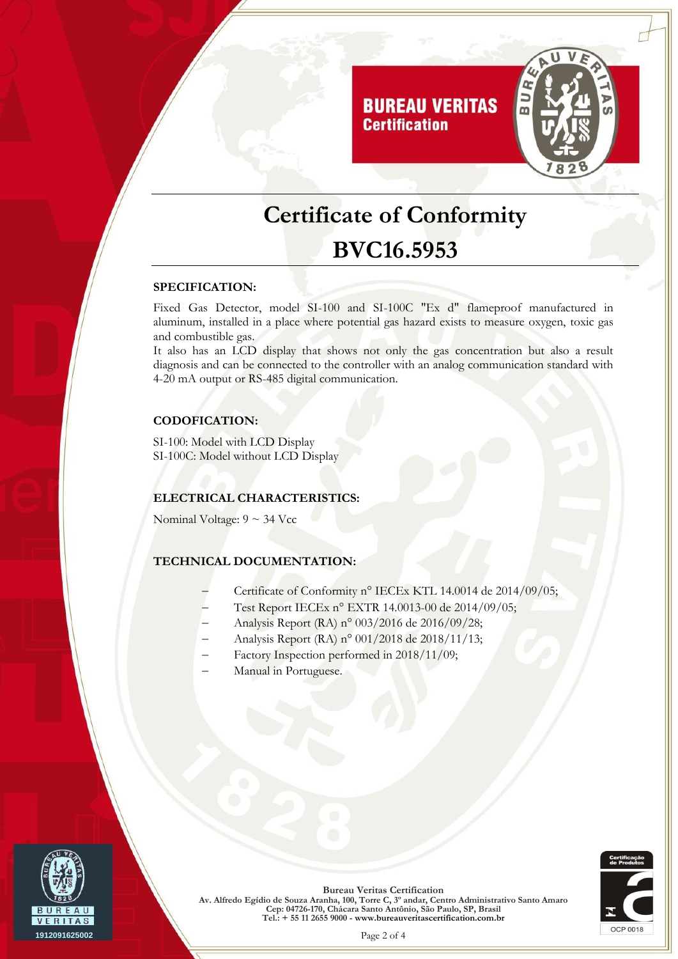

# **Certificate of Conformity BVC16.5953**

#### **SPECIFICATION:**

Fixed Gas Detector, model SI-100 and SI-100C "Ex d" flameproof manufactured in aluminum, installed in a place where potential gas hazard exists to measure oxygen, toxic gas and combustible gas.

It also has an LCD display that shows not only the gas concentration but also a result diagnosis and can be connected to the controller with an analog communication standard with 4-20 mA output or RS-485 digital communication.

### **CODOFICATION:**

SI-100: Model with LCD Display SI-100C: Model without LCD Display

#### **ELECTRICAL CHARACTERISTICS:**

Nominal Voltage:  $9 \sim 34$  Vcc

### **TECHNICAL DOCUMENTATION:**

- Certificate of Conformity n° IECEx KTL 14.0014 de 2014/09/05;
- Test Report IECEx n° EXTR 14.0013-00 de 2014/09/05;
- Analysis Report (RA) n° 003/2016 de 2016/09/28;
- Analysis Report (RA) n° 001/2018 de 2018/11/13;
- Factory Inspection performed in 2018/11/09;
- Manual in Portuguese.





**Bureau Veritas Certification Av. Alfredo Egídio de Souza Aranha, 100, Torre C, 3º andar, Centro Administrativo Santo Amaro Cep: 04726-170, Chácara Santo Antônio, São Paulo, SP, Brasil Tel.: + 55 11 2655 9000 - www.bureauveritascertification.com.br**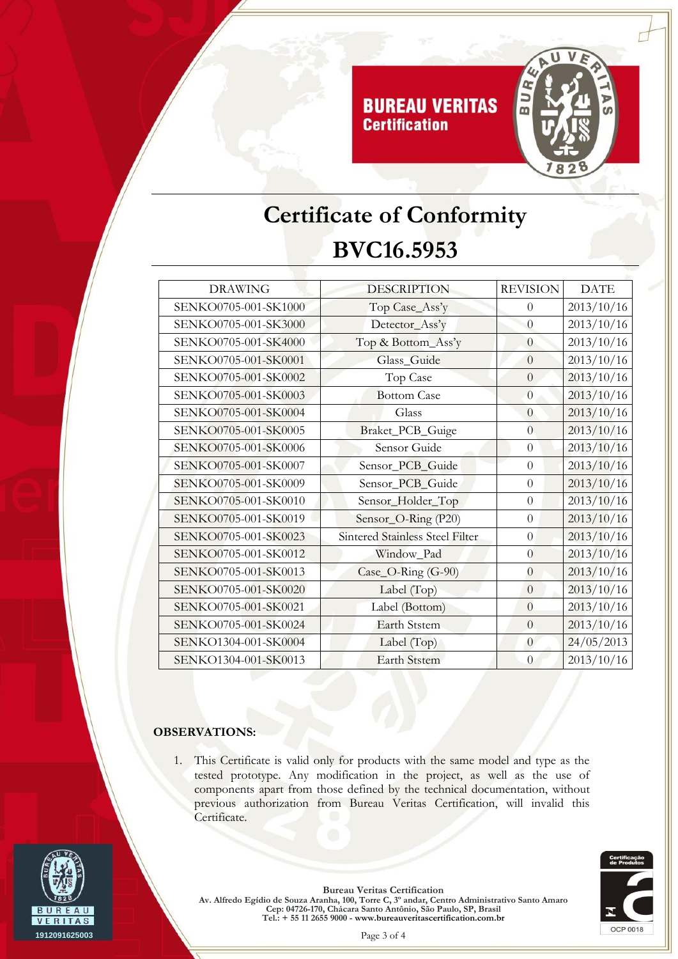

# **Certificate of Conformity BVC16.5953**

| <b>DRAWING</b>       | <b>DESCRIPTION</b>              | <b>REVISION</b> | <b>DATE</b> |
|----------------------|---------------------------------|-----------------|-------------|
| SENKO0705-001-SK1000 | Top Case_Ass'y                  | $\theta$        | 2013/10/16  |
| SENKO0705-001-SK3000 | Detector_Ass'y                  | $\theta$        | 2013/10/16  |
| SENKO0705-001-SK4000 | Top & Bottom_Ass'y              | $\theta$        | 2013/10/16  |
| SENKO0705-001-SK0001 | Glass_Guide                     | $\overline{0}$  | 2013/10/16  |
| SENKO0705-001-SK0002 | Top Case                        | $\theta$        | 2013/10/16  |
| SENKO0705-001-SK0003 | <b>Bottom Case</b>              | $\overline{0}$  | 2013/10/16  |
| SENKO0705-001-SK0004 | Glass                           | $\overline{0}$  | 2013/10/16  |
| SENKO0705-001-SK0005 | Braket_PCB_Guige                | $\overline{0}$  | 2013/10/16  |
| SENKO0705-001-SK0006 | Sensor Guide                    | $\theta$        | 2013/10/16  |
| SENKO0705-001-SK0007 | Sensor_PCB_Guide                | $\theta$        | 2013/10/16  |
| SENKO0705-001-SK0009 | Sensor_PCB_Guide                | $\theta$        | 2013/10/16  |
| SENKO0705-001-SK0010 | Sensor_Holder_Top               | $\overline{0}$  | 2013/10/16  |
| SENKO0705-001-SK0019 | Sensor_O-Ring (P20)             | $\theta$        | 2013/10/16  |
| SENKO0705-001-SK0023 | Sintered Stainless Steel Filter | $\theta$        | 2013/10/16  |
| SENKO0705-001-SK0012 | Window_Pad                      | $\theta$        | 2013/10/16  |
| SENKO0705-001-SK0013 | $Case_O-Ring (G-90)$            | $\overline{0}$  | 2013/10/16  |
| SENKO0705-001-SK0020 | Label (Top)                     | $\overline{0}$  | 2013/10/16  |
| SENKO0705-001-SK0021 | Label (Bottom)                  | $\theta$        | 2013/10/16  |
| SENKO0705-001-SK0024 | <b>Earth Ststem</b>             | $\overline{0}$  | 2013/10/16  |
| SENKO1304-001-SK0004 | Label $(Top)$                   | $\overline{0}$  | 24/05/2013  |
| SENKO1304-001-SK0013 | <b>Earth Ststem</b>             | $\theta$        | 2013/10/16  |
|                      |                                 |                 |             |

### **OBSERVATIONS:**

1. This Certificate is valid only for products with the same model and type as the tested prototype. Any modification in the project, as well as the use of components apart from those defined by the technical documentation, without previous authorization from Bureau Veritas Certification, will invalid this Certificate.



**Bureau Veritas Certification Av. Alfredo Egídio de Souza Aranha, 100, Torre C, 3º andar, Centro Administrativo Santo Amaro Cep: 04726-170, Chácara Santo Antônio, São Paulo, SP, Brasil Tel.: + 55 11 2655 9000 - www.bureauveritascertification.com.br**

**OCP 0018**